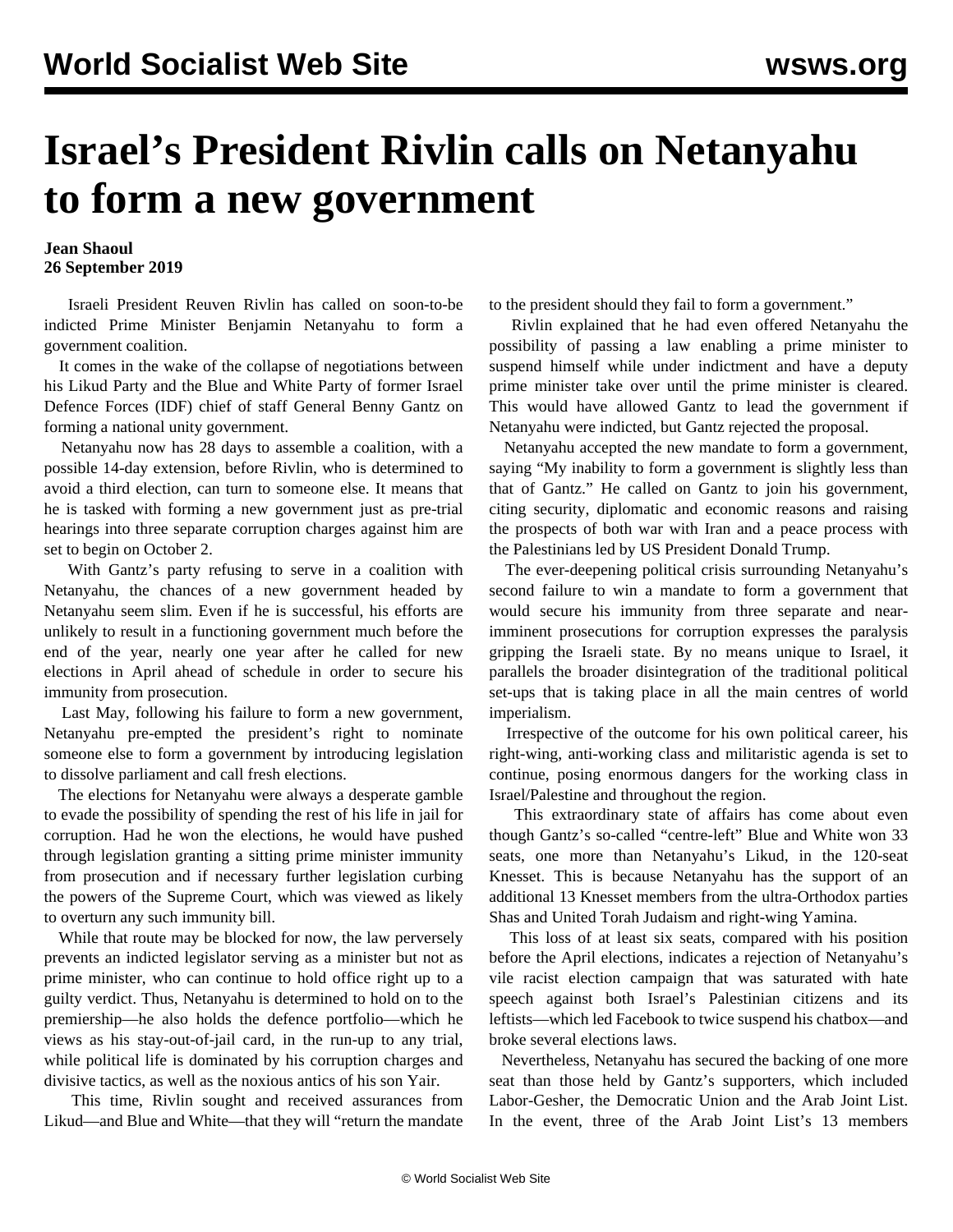## **Israel's President Rivlin calls on Netanyahu to form a new government**

## **Jean Shaoul 26 September 2019**

 Israeli President Reuven Rivlin has called on soon-to-be indicted Prime Minister Benjamin Netanyahu to form a government coalition.

 It comes in the wake of the collapse of negotiations between his Likud Party and the Blue and White Party of former Israel Defence Forces (IDF) chief of staff General Benny Gantz on forming a national unity government.

 Netanyahu now has 28 days to assemble a coalition, with a possible 14-day extension, before Rivlin, who is determined to avoid a third election, can turn to someone else. It means that he is tasked with forming a new government just as pre-trial hearings into three separate corruption charges against him are set to begin on October 2.

 With Gantz's party refusing to serve in a coalition with Netanyahu, the chances of a new government headed by Netanyahu seem slim. Even if he is successful, his efforts are unlikely to result in a functioning government much before the end of the year, nearly one year after he called for new elections in April ahead of schedule in order to secure his immunity from prosecution.

 Last May, following his failure to form a new government, Netanyahu pre-empted the president's right to nominate someone else to form a government by introducing legislation to dissolve parliament and call fresh elections.

 The elections for Netanyahu were always a desperate gamble to evade the possibility of spending the rest of his life in jail for corruption. Had he won the elections, he would have pushed through legislation granting a sitting prime minister immunity from prosecution and if necessary further legislation curbing the powers of the Supreme Court, which was viewed as likely to overturn any such immunity bill.

 While that route may be blocked for now, the law perversely prevents an indicted legislator serving as a minister but not as prime minister, who can continue to hold office right up to a guilty verdict. Thus, Netanyahu is determined to hold on to the premiership—he also holds the defence portfolio—which he views as his stay-out-of-jail card, in the run-up to any trial, while political life is dominated by his corruption charges and divisive tactics, as well as the noxious antics of his son Yair.

 This time, Rivlin sought and received assurances from Likud—and Blue and White—that they will "return the mandate

to the president should they fail to form a government."

 Rivlin explained that he had even offered Netanyahu the possibility of passing a law enabling a prime minister to suspend himself while under indictment and have a deputy prime minister take over until the prime minister is cleared. This would have allowed Gantz to lead the government if Netanyahu were indicted, but Gantz rejected the proposal.

 Netanyahu accepted the new mandate to form a government, saying "My inability to form a government is slightly less than that of Gantz." He called on Gantz to join his government, citing security, diplomatic and economic reasons and raising the prospects of both war with Iran and a peace process with the Palestinians led by US President Donald Trump.

 The ever-deepening political crisis surrounding Netanyahu's second failure to win a mandate to form a government that would secure his immunity from three separate and nearimminent prosecutions for corruption expresses the paralysis gripping the Israeli state. By no means unique to Israel, it parallels the broader disintegration of the traditional political set-ups that is taking place in all the main centres of world imperialism.

 Irrespective of the outcome for his own political career, his right-wing, anti-working class and militaristic agenda is set to continue, posing enormous dangers for the working class in Israel/Palestine and throughout the region.

 This extraordinary state of affairs has come about even though Gantz's so-called "centre-left" Blue and White won 33 seats, one more than Netanyahu's Likud, in the 120-seat Knesset. This is because Netanyahu has the support of an additional 13 Knesset members from the ultra-Orthodox parties Shas and United Torah Judaism and right-wing Yamina.

 This loss of at least six seats, compared with his position before the April elections, indicates a rejection of Netanyahu's vile racist election campaign that was saturated with hate speech against both Israel's Palestinian citizens and its leftists—which led Facebook to twice suspend his chatbox—and broke several elections laws.

 Nevertheless, Netanyahu has secured the backing of one more seat than those held by Gantz's supporters, which included Labor-Gesher, the Democratic Union and the Arab Joint List. In the event, three of the Arab Joint List's 13 members